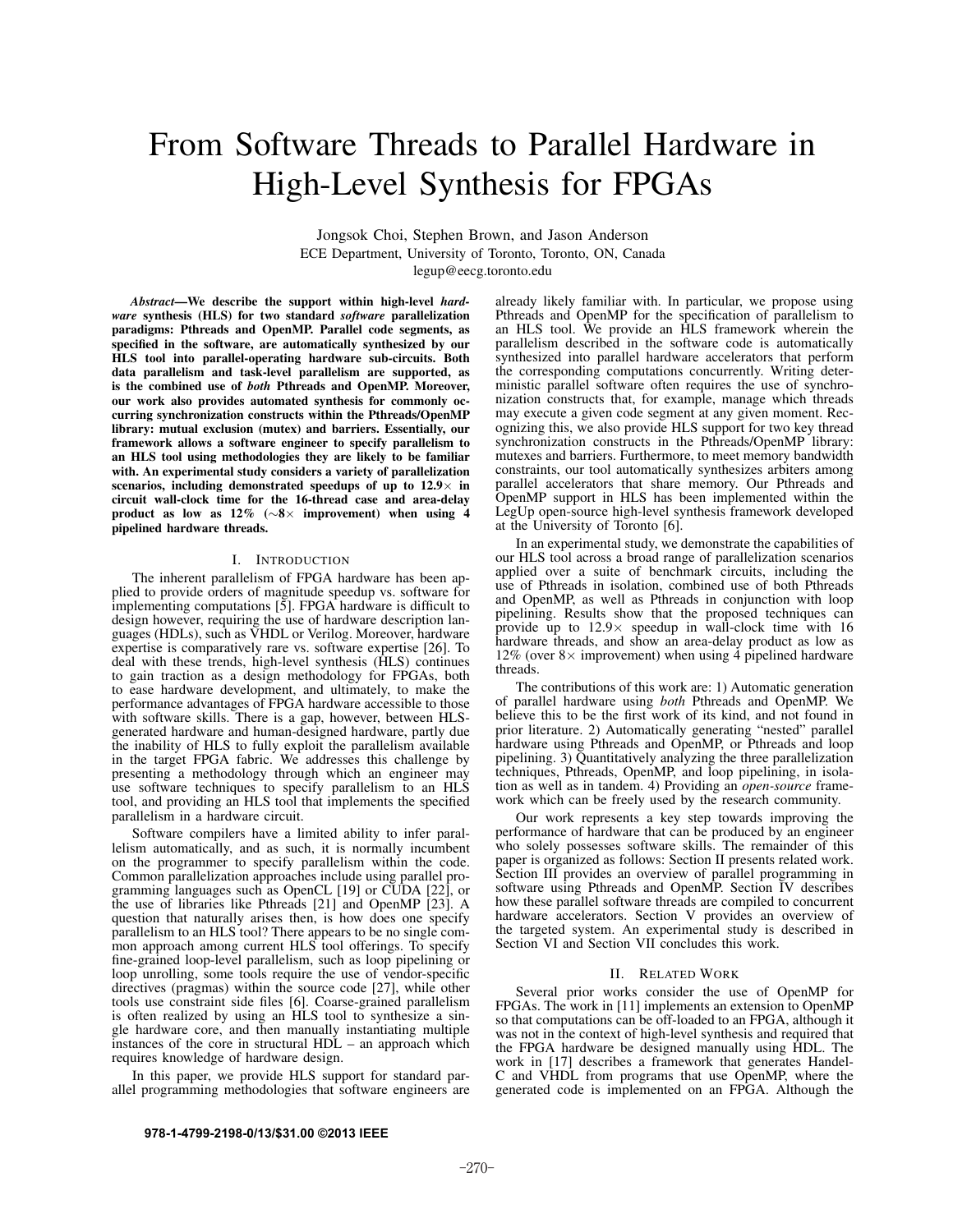# From Software Threads to Parallel Hardware in High-Level Synthesis for FPGAs

Jongsok Choi, Stephen Brown, and Jason Anderson ECE Department, University of Toronto, Toronto, ON, Canada legup@eecg.toronto.edu

*Abstract*—We describe the support within high-level *hardware* synthesis (HLS) for two standard *software* parallelization paradigms: Pthreads and OpenMP. Parallel code segments, as specified in the software, are automatically synthesized by our HLS tool into parallel-operating hardware sub-circuits. Both data parallelism and task-level parallelism are supported, as is the combined use of *both* Pthreads and OpenMP. Moreover, our work also provides automated synthesis for commonly occurring synchronization constructs within the Pthreads/OpenMP library: mutual exclusion (mutex) and barriers. Essentially, our framework allows a software engineer to specify parallelism to an HLS tool using methodologies they are likely to be familiar with. An experimental study considers a variety of parallelization scenarios, including demonstrated speedups of up to  $12.9 \times$  in circuit wall-clock time for the 16-thread case and area-delay product as low as  $12\%$  ( $\sim 8\times$  improvement) when using 4 pipelined hardware threads.

## I. INTRODUCTION

The inherent parallelism of FPGA hardware has been applied to provide orders of magnitude speedup vs. software for implementing computations  $[5]$ . FPGA hardware is difficult to design however, requiring the use of hardware description languages (HDLs), such as VHDL or Verilog. Moreover, hardware expertise is comparatively rare vs. software expertise [26]. To deal with these trends, high-level synthesis (HLS) continues to gain traction as a design methodology for FPGAs, both to ease hardware development, and ultimately, to make the performance advantages of FPGA hardware accessible to those with software skills. There is a gap, however, between HLSgenerated hardware and human-designed hardware, partly due the inability of HLS to fully exploit the parallelism available in the target FPGA fabric. We addresses this challenge by presenting a methodology through which an engineer may use software techniques to specify parallelism to an HLS tool, and providing an HLS tool that implements the specified parallelism in a hardware circuit.

Software compilers have a limited ability to infer parallelism automatically, and as such, it is normally incumbent on the programmer to specify parallelism within the code. Common parallelization approaches include using parallel programming languages such as OpenCL [19] or CUDA [22], or the use of libraries like Pthreads [21] and OpenMP [23]. A question that naturally arises then, is how does one specify parallelism to an HLS tool? There appears to be no single common approach among current HLS tool offerings. To specify fine-grained loop-level parallelism, such as loop pipelining or loop unrolling, some tools require the use of vendor-specific directives (pragmas) within the source code [27], while other tools use constraint side files [6]. Coarse-grained parallelism is often realized by using an HLS tool to synthesize a single hardware core, and then manually instantiating multiple instances of the core in structural HDL – an approach which requires knowledge of hardware design.

In this paper, we provide HLS support for standard parallel programming methodologies that software engineers are

already likely familiar with. In particular, we propose using Pthreads and OpenMP for the specification of parallelism to an HLS tool. We provide an HLS framework wherein the parallelism described in the software code is automatically synthesized into parallel hardware accelerators that perform the corresponding computations concurrently. Writing deterministic parallel software often requires the use of synchronization constructs that, for example, manage which threads may execute a given code segment at any given moment. Recognizing this, we also provide HLS support for two key thread synchronization constructs in the Pthreads/OpenMP library: mutexes and barriers. Furthermore, to meet memory bandwidth constraints, our tool automatically synthesizes arbiters among parallel accelerators that share memory. Our Pthreads and OpenMP support in HLS has been implemented within the LegUp open-source high-level synthesis framework developed at the University of Toronto [6].

In an experimental study, we demonstrate the capabilities of our HLS tool across a broad range of parallelization scenarios applied over a suite of benchmark circuits, including the use of Pthreads in isolation, combined use of both Pthreads and OpenMP, as well as Pthreads in conjunction with loop pipelining. Results show that the proposed techniques can provide up to  $12.9 \times$  speedup in wall-clock time with 16 hardware threads, and show an area-delay product as low as  $12\%$  (over 8  $\times$  improvement) when using 4 pipelined hardware threads.

The contributions of this work are: 1) Automatic generation of parallel hardware using *both* Pthreads and OpenMP. We believe this to be the first work of its kind, and not found in prior literature. 2) Automatically generating "nested" parallel hardware using Pthreads and OpenMP, or Pthreads and loop pipelining. 3) Quantitatively analyzing the three parallelization techniques, Pthreads, OpenMP, and loop pipelining, in isolation as well as in tandem. 4) Providing an *open-source* framework which can be freely used by the research community.

Our work represents a key step towards improving the performance of hardware that can be produced by an engineer who solely possesses software skills. The remainder of this paper is organized as follows: Section II presents related work. Section III provides an overview of parallel programming in software using Pthreads and OpenMP. Section IV describes how these parallel software threads are compiled to concurrent hardware accelerators. Section V provides an overview of the targeted system. An experimental study is described in Section VI and Section VII concludes this work.

## II. RELATED WORK

Several prior works consider the use of OpenMP for FPGAs. The work in [11] implements an extension to OpenMP so that computations can be off-loaded to an FPGA, although it was not in the context of high-level synthesis and required that the FPGA hardware be designed manually using HDL. The work in [17] describes a framework that generates Handel-C and VHDL from programs that use OpenMP, where the generated code is implemented on an FPGA. Although the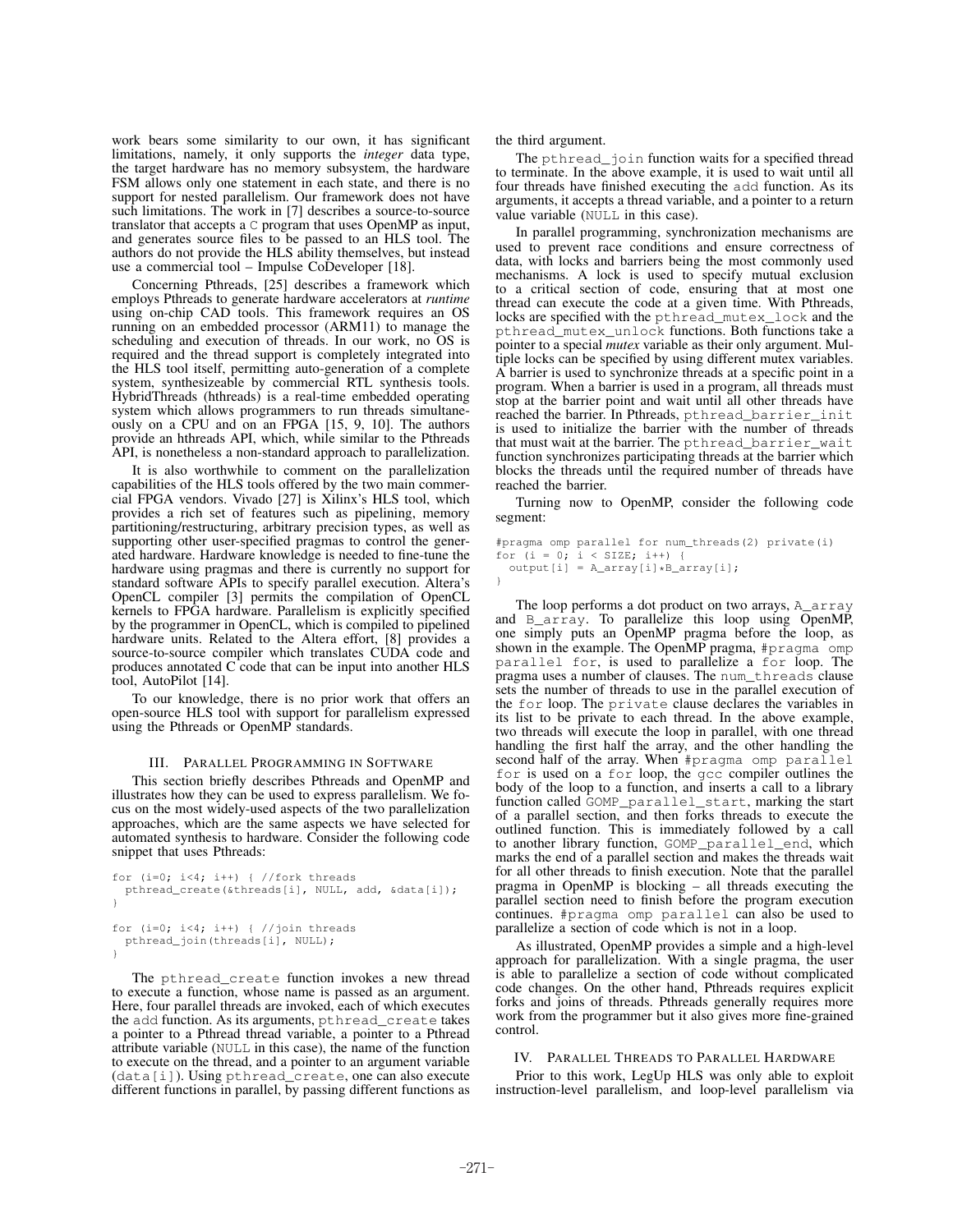work bears some similarity to our own, it has significant limitations, namely, it only supports the *integer* data type, the target hardware has no memory subsystem, the hardware FSM allows only one statement in each state, and there is no support for nested parallelism. Our framework does not have such limitations. The work in [7] describes a source-to-source translator that accepts a C program that uses OpenMP as input, and generates source files to be passed to an HLS tool. The authors do not provide the HLS ability themselves, but instead use a commercial tool – Impulse CoDeveloper [18].

Concerning Pthreads, [25] describes a framework which employs Pthreads to generate hardware accelerators at *runtime* using on-chip CAD tools. This framework requires an OS running on an embedded processor (ARM11) to manage the scheduling and execution of threads. In our work, no OS is required and the thread support is completely integrated into the HLS tool itself, permitting auto-generation of a complete system, synthesizeable by commercial RTL synthesis tools. HybridThreads (hthreads) is a real-time embedded operating system which allows programmers to run threads simultaneously on a CPU and on an FPGA [15, 9, 10]. The authors provide an hthreads API, which, while similar to the Pthreads API, is nonetheless a non-standard approach to parallelization.

It is also worthwhile to comment on the parallelization capabilities of the HLS tools offered by the two main commercial FPGA vendors. Vivado [27] is Xilinx's HLS tool, which provides a rich set of features such as pipelining, memory partitioning/restructuring, arbitrary precision types, as well as supporting other user-specified pragmas to control the generated hardware. Hardware knowledge is needed to fine-tune the hardware using pragmas and there is currently no support for standard software APIs to specify parallel execution. Altera's OpenCL compiler [3] permits the compilation of OpenCL kernels to FPGA hardware. Parallelism is explicitly specified by the programmer in OpenCL, which is compiled to pipelined hardware units. Related to the Altera effort, [8] provides a source-to-source compiler which translates CUDA code and produces annotated C code that can be input into another HLS tool, AutoPilot [14].

To our knowledge, there is no prior work that offers an open-source HLS tool with support for parallelism expressed using the Pthreads or OpenMP standards.

#### III. PARALLEL PROGRAMMING IN SOFTWARE

This section briefly describes Pthreads and OpenMP and illustrates how they can be used to express parallelism. We focus on the most widely-used aspects of the two parallelization approaches, which are the same aspects we have selected for automated synthesis to hardware. Consider the following code snippet that uses Pthreads:

```
for (i=0; i<4; i++) { //fork threads
 pthread_create(&threads[i], NULL, add, &data[i]);
}
for (i=0; i<4; i++) { //join threads
 pthread_join(threads[i], NULL);
}
```
The pthread create function invokes a new thread to execute a function, whose name is passed as an argument. Here, four parallel threads are invoked, each of which executes the add function. As its arguments, pthread\_create takes a pointer to a Pthread thread variable, a pointer to a Pthread attribute variable (NULL in this case), the name of the function to execute on the thread, and a pointer to an argument variable (data[i]). Using pthread\_create, one can also execute different functions in parallel, by passing different functions as

the third argument.

The pthread\_join function waits for a specified thread to terminate. In the above example, it is used to wait until all four threads have finished executing the add function. As its arguments, it accepts a thread variable, and a pointer to a return value variable (NULL in this case).

In parallel programming, synchronization mechanisms are used to prevent race conditions and ensure correctness of data, with locks and barriers being the most commonly used mechanisms. A lock is used to specify mutual exclusion to a critical section of code, ensuring that at most one thread can execute the code at a given time. With Pthreads, locks are specified with the pthread\_mutex\_lock and the pthread\_mutex\_unlock functions. Both functions take a pointer to a special *mutex* variable as their only argument. Multiple locks can be specified by using different mutex variables. A barrier is used to synchronize threads at a specific point in a program. When a barrier is used in a program, all threads must stop at the barrier point and wait until all other threads have reached the barrier. In Pthreads, pthread\_barrier\_init is used to initialize the barrier with the number of threads that must wait at the barrier. The pthread\_barrier\_wait function synchronizes participating threads at the barrier which blocks the threads until the required number of threads have reached the barrier.

Turning now to OpenMP, consider the following code segment:

```
#pragma omp parallel for num_threads(2) private(i)
for (i = 0; i < SIZE; i++) {
 output[i] = A_array[i]*B_array[i];
}
```
The loop performs a dot product on two arrays, A\_array and B\_array. To parallelize this loop using OpenMP, one simply puts an OpenMP pragma before the loop, as shown in the example. The OpenMP pragma, #pragma omp parallel for, is used to parallelize a for loop. The pragma uses a number of clauses. The num\_threads clause sets the number of threads to use in the parallel execution of the for loop. The private clause declares the variables in its list to be private to each thread. In the above example, two threads will execute the loop in parallel, with one thread handling the first half the array, and the other handling the second half of the array. When #pragma omp parallel for is used on a for loop, the gcc compiler outlines the body of the loop to a function, and inserts a call to a library function called GOMP\_parallel\_start, marking the start of a parallel section, and then forks threads to execute the outlined function. This is immediately followed by a call to another library function, GOMP\_parallel\_end, which marks the end of a parallel section and makes the threads wait for all other threads to finish execution. Note that the parallel pragma in OpenMP is blocking – all threads executing the parallel section need to finish before the program execution continues. #pragma omp parallel can also be used to parallelize a section of code which is not in a loop.

As illustrated, OpenMP provides a simple and a high-level approach for parallelization. With a single pragma, the user is able to parallelize a section of code without complicated code changes. On the other hand, Pthreads requires explicit forks and joins of threads. Pthreads generally requires more work from the programmer but it also gives more fine-grained control.

# IV. PARALLEL THREADS TO PARALLEL HARDWARE

Prior to this work, LegUp HLS was only able to exploit instruction-level parallelism, and loop-level parallelism via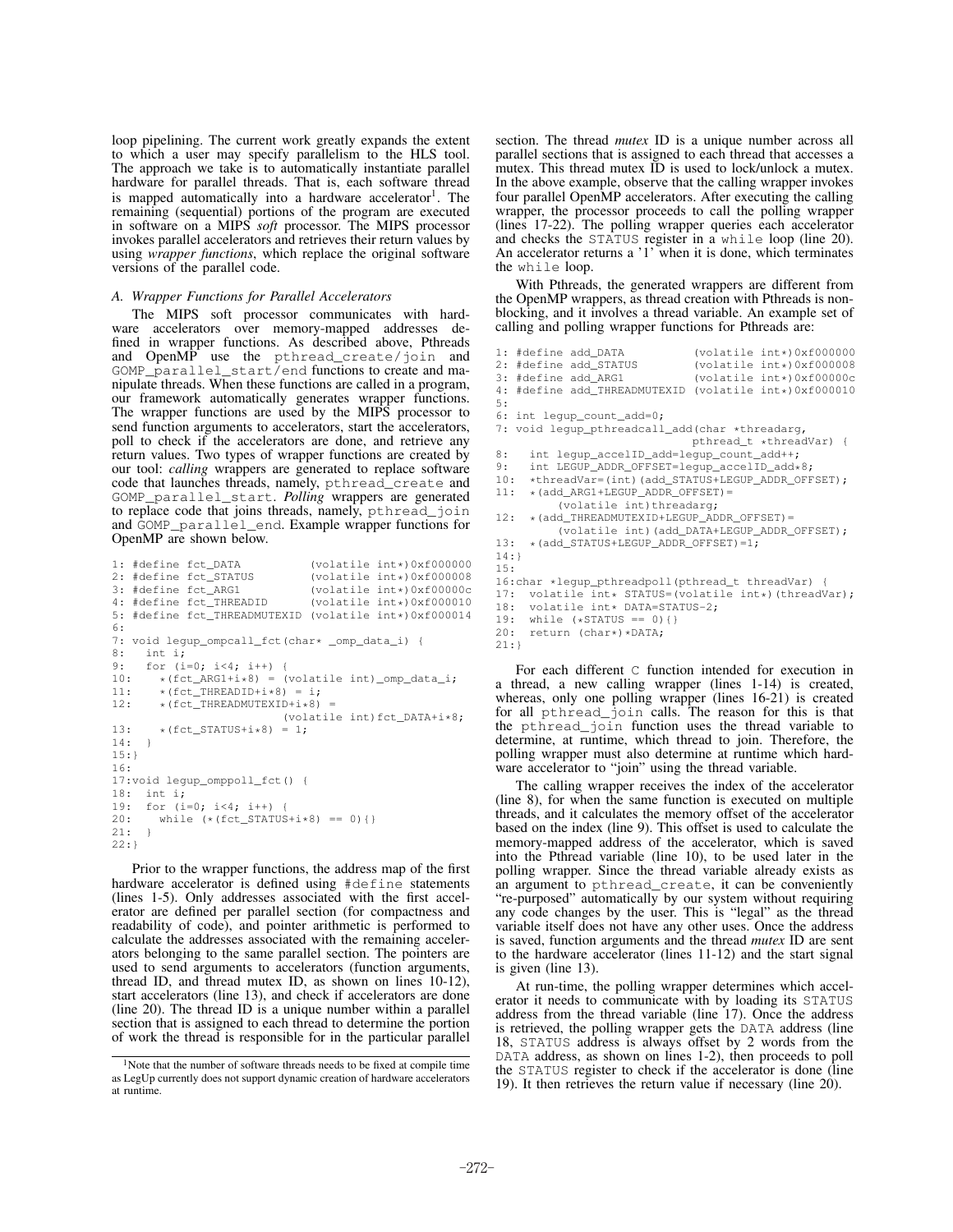loop pipelining. The current work greatly expands the extent to which a user may specify parallelism to the HLS tool. The approach we take is to automatically instantiate parallel hardware for parallel threads. That is, each software thread is mapped automatically into a hardware accelerator<sup>1</sup>. The remaining (sequential) portions of the program are executed in software on a MIPS *soft* processor. The MIPS processor invokes parallel accelerators and retrieves their return values by using *wrapper functions*, which replace the original software versions of the parallel code.

# *A. Wrapper Functions for Parallel Accelerators*

The MIPS soft processor communicates with hardware accelerators over memory-mapped addresses defined in wrapper functions. As described above, Pthreads and OpenMP use the pthread\_create/join and GOMP\_parallel\_start/end functions to create and manipulate threads. When these functions are called in a program, our framework automatically generates wrapper functions. The wrapper functions are used by the MIPS processor to send function arguments to accelerators, start the accelerators, poll to check if the accelerators are done, and retrieve any return values. Two types of wrapper functions are created by our tool: *calling* wrappers are generated to replace software code that launches threads, namely, pthread\_create and GOMP\_parallel\_start. *Polling* wrappers are generated to replace code that joins threads, namely, pthread\_join and GOMP\_parallel\_end. Example wrapper functions for OpenMP are shown below.

```
1: #define fct_DATA (volatile int*)0xf000000<br>2: #define fct STATUS (volatile int*)0xf000008
2: #define fct_STATUS<br>3: #define fct_ARG1
                                       (volatile int*)0xf00000c<br>(volatile int*)0xf0000104: #define fct_THREADID
5: #define fct_THREADMUTEXID (volatile int*)0xf000014
6:
7: void legup_ompcall_fct(char* _omp_data_i) {<br>8: int i;
8: int i;<br>9: for (i)
      for (i=0; i<4; i++) {
10: *(fct\_ARG1+i*8) = (volatile int)_{omp\_data_i};<br>11: *(fct\_THRFADID+i*8) = i:
11: *(fct_THREADID+ i * 8) = i;<br>
12: *(fct_THREADMUTEXID+ i * 8)*(ftct_THREADMUTEXID+i*8) =(volatile int)fct_DATA+i*8;
13: *(ft\_STATUS+i*8) = 1;14: }
15:}
16:
17:void legup_omppoll_fct() {
18: int i;
19: for (i=0; i<4; i++) {
20: while (* (fct\_STATUS+i*8) == 0) {}
21: }
22:}
```
Prior to the wrapper functions, the address map of the first hardware accelerator is defined using #define statements (lines 1-5). Only addresses associated with the first accelerator are defined per parallel section (for compactness and readability of code), and pointer arithmetic is performed to calculate the addresses associated with the remaining accelerators belonging to the same parallel section. The pointers are used to send arguments to accelerators (function arguments, thread ID, and thread mutex ID, as shown on lines 10-12), start accelerators (line 13), and check if accelerators are done (line 20). The thread ID is a unique number within a parallel section that is assigned to each thread to determine the portion of work the thread is responsible for in the particular parallel

section. The thread *mutex* ID is a unique number across all parallel sections that is assigned to each thread that accesses a mutex. This thread mutex ID is used to lock/unlock a mutex. In the above example, observe that the calling wrapper invokes four parallel OpenMP accelerators. After executing the calling wrapper, the processor proceeds to call the polling wrapper (lines 17-22). The polling wrapper queries each accelerator and checks the STATUS register in a while loop (line 20). An accelerator returns a '1' when it is done, which terminates the while loop.

With Pthreads, the generated wrappers are different from the OpenMP wrappers, as thread creation with Pthreads is nonblocking, and it involves a thread variable. An example set of calling and polling wrapper functions for Pthreads are:

```
1: #define add_DATA (volatile int*)0xf000000<br>2: #define add_STATUS (volatile int*)0xf000008
2: #define add_STATUS (volatile int*)0xf000008<br>3: #define add_ARG1 (volatile int*)0xf00000c
                                      (volatile int*)0xf00000c
4: #define add_THREADMUTEXID (volatile int*)0xf000010
5:
6: int legup_count_add=0;
7: void legup_pthreadcall_add(char *threadarg,
                                     pthread_t *threadVar) {
8: int legup_accelID_add=legup_count_add++;
9: int LEGUP_ADDR_OFFSET=legup_accelID_add*8;<br>10: *threadVar=(int)(add STATUS+LEGUP ADDR OFF
10: \starthreadVar=(int)(add_STATUS+LEGUP_ADDR_OFFSET);<br>11: \star(add ARG1+LEGUP ADDR OFFSET)=
       11: *(add_ARG1+LEGUP_ADDR_OFFSET)=
            (volatile int)threadarg;
12: *(add_THREADMUTEXID+LEGUP_ADDR_OFFSET)=
            (volatile int)(add_DATA+LEGUP_ADDR_OFFSET);
13: *(add\_STATUS+LEGUP\_ADDR\_OFFSET)=1;14:}
15:
16:char *legup_pthreadpoll(pthread_t threadVar) {
17: volatile int* STATUS=(volatile int*)(threadVar);<br>18: volatile int* DATA=STATUS-2:
18: volatile int* DATA=STATUS-2;<br>19: while (*STATUS == 0){}
      while (*STATUS == 0){})20: return (char*)*DATA;
21:}
```
For each different C function intended for execution in a thread, a new calling wrapper (lines 1-14) is created, whereas, only one polling wrapper (lines 16-21) is created for all pthread\_join calls. The reason for this is that the pthread\_join function uses the thread variable to determine, at runtime, which thread to join. Therefore, the polling wrapper must also determine at runtime which hardware accelerator to "join" using the thread variable.

The calling wrapper receives the index of the accelerator (line 8), for when the same function is executed on multiple threads, and it calculates the memory offset of the accelerator based on the index (line 9). This offset is used to calculate the memory-mapped address of the accelerator, which is saved into the Pthread variable (line 10), to be used later in the polling wrapper. Since the thread variable already exists as an argument to pthread\_create, it can be conveniently "re-purposed" automatically by our system without requiring any code changes by the user. This is "legal" as the thread variable itself does not have any other uses. Once the address is saved, function arguments and the thread *mutex* ID are sent to the hardware accelerator (lines 11-12) and the start signal is given (line 13).

At run-time, the polling wrapper determines which accelerator it needs to communicate with by loading its STATUS address from the thread variable (line 17). Once the address is retrieved, the polling wrapper gets the DATA address (line 18, STATUS address is always offset by 2 words from the DATA address, as shown on lines 1-2), then proceeds to poll the STATUS register to check if the accelerator is done (line 19). It then retrieves the return value if necessary (line 20).

<sup>&</sup>lt;sup>1</sup>Note that the number of software threads needs to be fixed at compile time as LegUp currently does not support dynamic creation of hardware accelerators at runtime.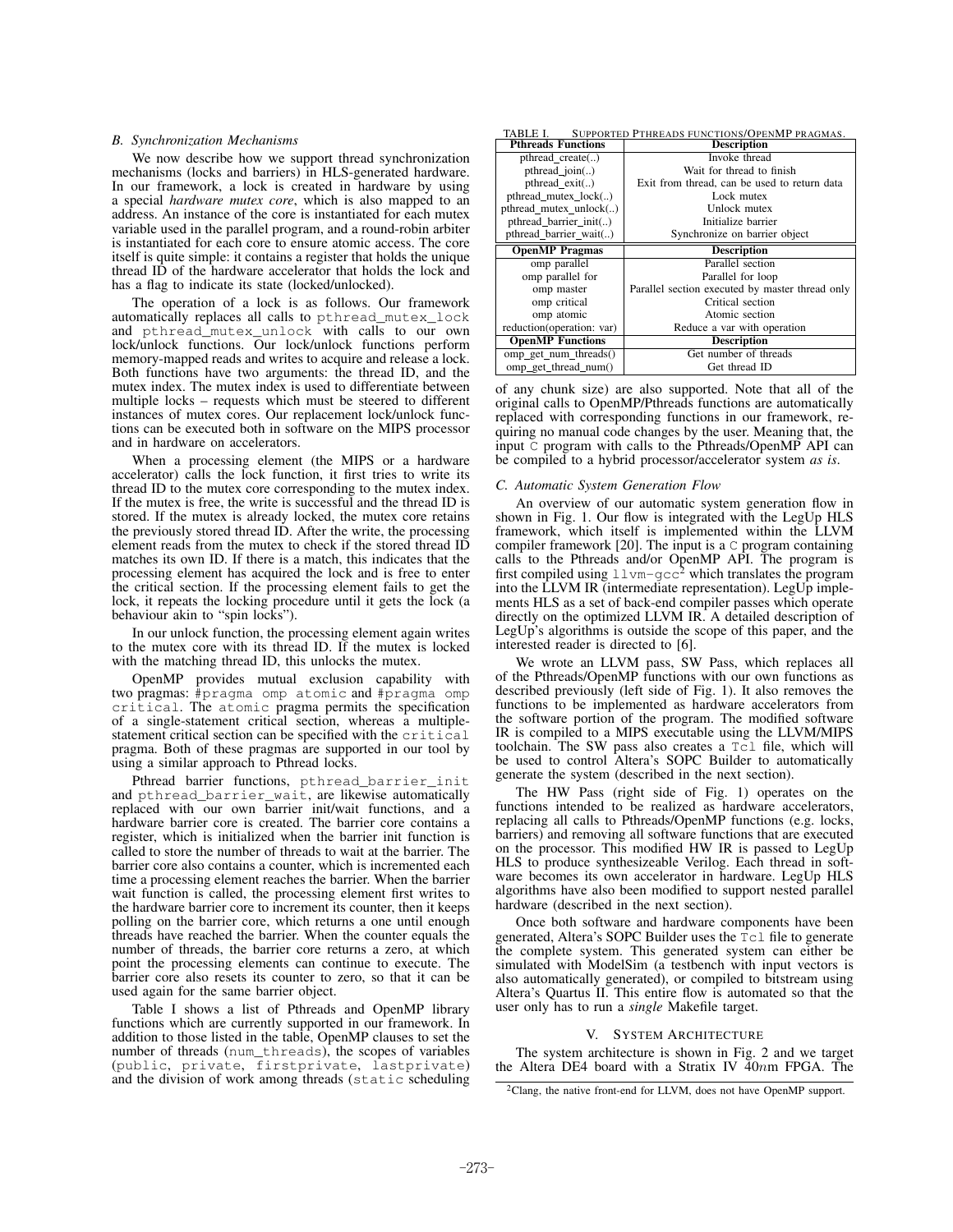### *B. Synchronization Mechanisms*

We now describe how we support thread synchronization mechanisms (locks and barriers) in HLS-generated hardware. In our framework, a lock is created in hardware by using a special *hardware mutex core*, which is also mapped to an address. An instance of the core is instantiated for each mutex variable used in the parallel program, and a round-robin arbiter is instantiated for each core to ensure atomic access. The core itself is quite simple: it contains a register that holds the unique thread ID of the hardware accelerator that holds the lock and has a flag to indicate its state (locked/unlocked).

The operation of a lock is as follows. Our framework automatically replaces all calls to pthread\_mutex\_lock and pthread\_mutex\_unlock with calls to our own lock/unlock functions. Our lock/unlock functions perform memory-mapped reads and writes to acquire and release a lock. Both functions have two arguments: the thread ID, and the mutex index. The mutex index is used to differentiate between multiple locks – requests which must be steered to different instances of mutex cores. Our replacement lock/unlock functions can be executed both in software on the MIPS processor and in hardware on accelerators.

When a processing element (the MIPS or a hardware accelerator) calls the lock function, it first tries to write its thread ID to the mutex core corresponding to the mutex index. If the mutex is free, the write is successful and the thread ID is stored. If the mutex is already locked, the mutex core retains the previously stored thread ID. After the write, the processing element reads from the mutex to check if the stored thread ID matches its own ID. If there is a match, this indicates that the processing element has acquired the lock and is free to enter the critical section. If the processing element fails to get the lock, it repeats the locking procedure until it gets the lock (a behaviour akin to "spin locks").

In our unlock function, the processing element again writes to the mutex core with its thread ID. If the mutex is locked with the matching thread ID, this unlocks the mutex.

OpenMP provides mutual exclusion capability with two pragmas: #pragma omp atomic and #pragma omp critical. The atomic pragma permits the specification of a single-statement critical section, whereas a multiplestatement critical section can be specified with the critical pragma. Both of these pragmas are supported in our tool by using a similar approach to Pthread locks.

Pthread barrier functions, pthread\_barrier\_init and pthread\_barrier\_wait, are likewise automatically replaced with our own barrier init/wait functions, and a hardware barrier core is created. The barrier core contains a register, which is initialized when the barrier init function is called to store the number of threads to wait at the barrier. The barrier core also contains a counter, which is incremented each time a processing element reaches the barrier. When the barrier wait function is called, the processing element first writes to the hardware barrier core to increment its counter, then it keeps polling on the barrier core, which returns a one until enough threads have reached the barrier. When the counter equals the number of threads, the barrier core returns a zero, at which point the processing elements can continue to execute. The barrier core also resets its counter to zero, so that it can be used again for the same barrier object.

Table I shows a list of Pthreads and OpenMP library functions which are currently supported in our framework. In addition to those listed in the table, OpenMP clauses to set the number of threads (num\_threads), the scopes of variables (public, private, firstprivate, lastprivate) and the division of work among threads (static scheduling

TABLE I. SUPPORTED PTHREADS FUNCTIONS/OPENMP PRAGMAS.

| <b>Pthreads Functions</b>             | <b>Description</b>                              |  |  |  |  |  |  |  |
|---------------------------------------|-------------------------------------------------|--|--|--|--|--|--|--|
| pthread create()                      | Invoke thread                                   |  |  |  |  |  |  |  |
| $\text{pthread } \text{join}(\ldots)$ | Wait for thread to finish                       |  |  |  |  |  |  |  |
| $\text{pthread exit}$                 | Exit from thread, can be used to return data    |  |  |  |  |  |  |  |
| pthread mutex lock()                  | Lock mutex                                      |  |  |  |  |  |  |  |
| pthread mutex unlock()                | Unlock mutex                                    |  |  |  |  |  |  |  |
| pthread barrier init()                | Initialize barrier                              |  |  |  |  |  |  |  |
| pthread barrier wait()                | Synchronize on barrier object                   |  |  |  |  |  |  |  |
| <b>OpenMP</b> Pragmas                 | <b>Description</b>                              |  |  |  |  |  |  |  |
| omp parallel                          | Parallel section                                |  |  |  |  |  |  |  |
| omp parallel for                      | Parallel for loop                               |  |  |  |  |  |  |  |
| omp master                            | Parallel section executed by master thread only |  |  |  |  |  |  |  |
| omp critical                          | Critical section                                |  |  |  |  |  |  |  |
| omp atomic                            | Atomic section                                  |  |  |  |  |  |  |  |
| reduction(operation: var)             | Reduce a var with operation                     |  |  |  |  |  |  |  |
| <b>OpenMP</b> Functions               | <b>Description</b>                              |  |  |  |  |  |  |  |
| omp get num threads()                 | Get number of threads                           |  |  |  |  |  |  |  |
| omp_get_thread_num()                  | Get thread ID                                   |  |  |  |  |  |  |  |

of any chunk size) are also supported. Note that all of the original calls to OpenMP/Pthreads functions are automatically replaced with corresponding functions in our framework, requiring no manual code changes by the user. Meaning that, the input C program with calls to the Pthreads/OpenMP API can be compiled to a hybrid processor/accelerator system *as is*.

# *C. Automatic System Generation Flow*

An overview of our automatic system generation flow in shown in Fig. 1. Our flow is integrated with the LegUp HLS framework, which itself is implemented within the LLVM compiler framework  $[20]$ . The input is a  $\circ$  program containing calls to the Pthreads and/or OpenMP API. The program is first compiled using  $llm-gcc^2$  which translates the program into the LLVM IR (intermediate representation). LegUp implements HLS as a set of back-end compiler passes which operate directly on the optimized LLVM IR. A detailed description of LegUp's algorithms is outside the scope of this paper, and the interested reader is directed to [6].

We wrote an LLVM pass, SW Pass, which replaces all of the Pthreads/OpenMP functions with our own functions as described previously (left side of Fig. 1). It also removes the functions to be implemented as hardware accelerators from the software portion of the program. The modified software IR is compiled to a MIPS executable using the LLVM/MIPS toolchain. The SW pass also creates a Tcl file, which will be used to control Altera's SOPC Builder to automatically generate the system (described in the next section).

The HW Pass (right side of Fig. 1) operates on the functions intended to be realized as hardware accelerators, replacing all calls to Pthreads/OpenMP functions (e.g. locks, barriers) and removing all software functions that are executed on the processor. This modified HW IR is passed to LegUp HLS to produce synthesizeable Verilog. Each thread in software becomes its own accelerator in hardware. LegUp HLS algorithms have also been modified to support nested parallel hardware (described in the next section).

Once both software and hardware components have been generated, Altera's SOPC Builder uses the  $\overline{T}c1$  file to generate the complete system. This generated system can either be simulated with ModelSim (a testbench with input vectors is also automatically generated), or compiled to bitstream using Altera's Quartus II. This entire flow is automated so that the user only has to run a *single* Makefile target.

## V. SYSTEM ARCHITECTURE

The system architecture is shown in Fig. 2 and we target the Altera DE4 board with a Stratix IV  $\overline{40}$ nm FPGA. The

<sup>&</sup>lt;sup>2</sup>Clang, the native front-end for LLVM, does not have OpenMP support.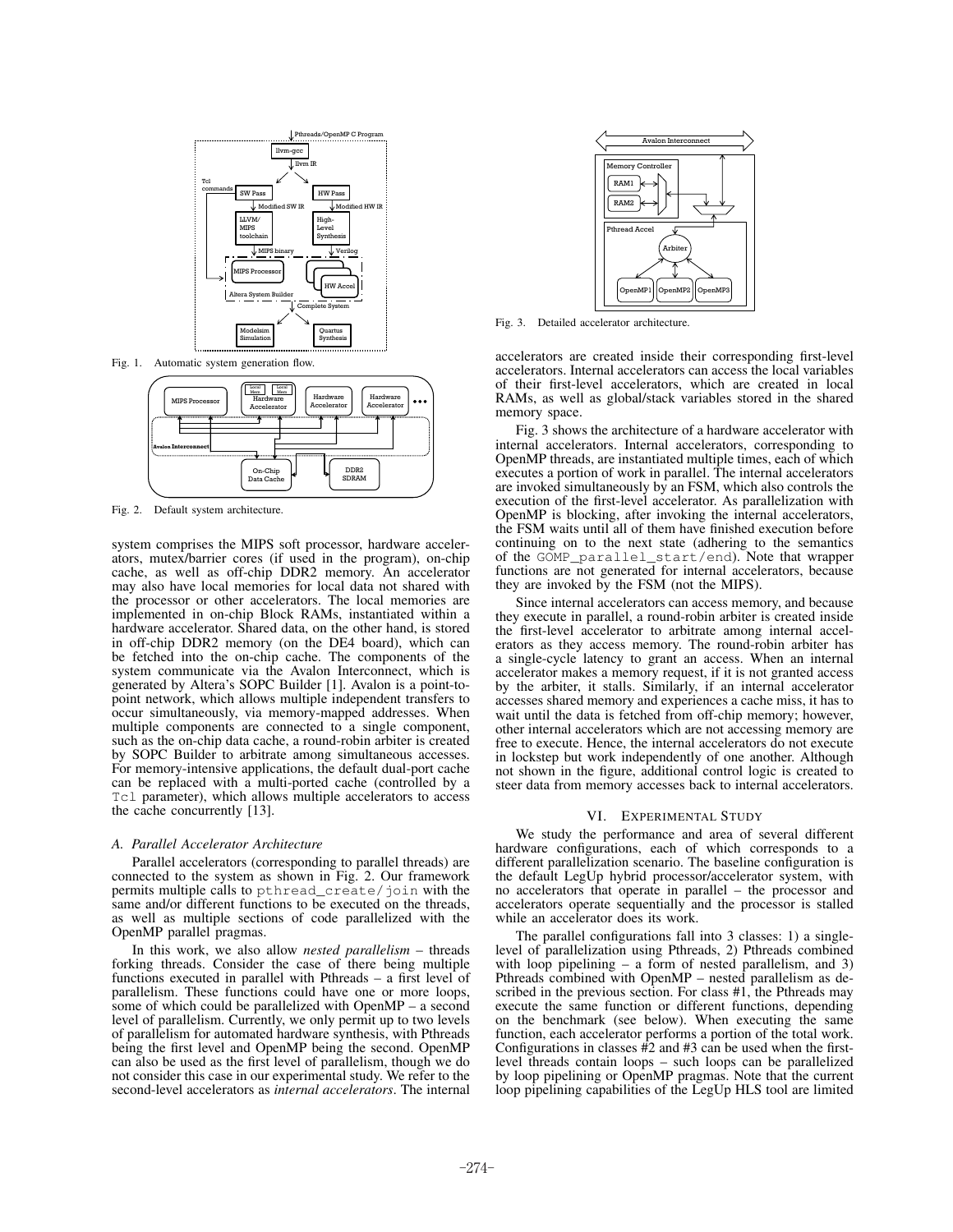

Fig. 1. Automatic system generation flow.



Fig. 2. Default system architecture.

system comprises the MIPS soft processor, hardware accelerators, mutex/barrier cores (if used in the program), on-chip cache, as well as off-chip DDR2 memory. An accelerator may also have local memories for local data not shared with the processor or other accelerators. The local memories are implemented in on-chip Block RAMs, instantiated within a hardware accelerator. Shared data, on the other hand, is stored in off-chip DDR2 memory (on the DE4 board), which can be fetched into the on-chip cache. The components of the system communicate via the Avalon Interconnect, which is generated by Altera's SOPC Builder [1]. Avalon is a point-topoint network, which allows multiple independent transfers to occur simultaneously, via memory-mapped addresses. When multiple components are connected to a single component, such as the on-chip data cache, a round-robin arbiter is created by SOPC Builder to arbitrate among simultaneous accesses. For memory-intensive applications, the default dual-port cache can be replaced with a multi-ported cache (controlled by a Tc1 parameter), which allows multiple accelerators to access the cache concurrently [13].

#### *A. Parallel Accelerator Architecture*

Parallel accelerators (corresponding to parallel threads) are connected to the system as shown in Fig. 2. Our framework permits multiple calls to pthread\_create/join with the same and/or different functions to be executed on the threads, as well as multiple sections of code parallelized with the OpenMP parallel pragmas.

In this work, we also allow *nested parallelism* – threads forking threads. Consider the case of there being multiple functions executed in parallel with Pthreads – a first level of parallelism. These functions could have one or more loops, some of which could be parallelized with OpenMP – a second level of parallelism. Currently, we only permit up to two levels of parallelism for automated hardware synthesis, with Pthreads being the first level and OpenMP being the second. OpenMP can also be used as the first level of parallelism, though we do not consider this case in our experimental study. We refer to the second-level accelerators as *internal accelerators*. The internal



Fig. 3. Detailed accelerator architecture.

accelerators are created inside their corresponding first-level accelerators. Internal accelerators can access the local variables of their first-level accelerators, which are created in local RAMs, as well as global/stack variables stored in the shared memory space.

Fig. 3 shows the architecture of a hardware accelerator with internal accelerators. Internal accelerators, corresponding to OpenMP threads, are instantiated multiple times, each of which executes a portion of work in parallel. The internal accelerators are invoked simultaneously by an FSM, which also controls the execution of the first-level accelerator. As parallelization with OpenMP is blocking, after invoking the internal accelerators, the FSM waits until all of them have finished execution before continuing on to the next state (adhering to the semantics of the GOMP\_parallel\_start/end). Note that wrapper functions are not generated for internal accelerators, because they are invoked by the FSM (not the MIPS).

Since internal accelerators can access memory, and because they execute in parallel, a round-robin arbiter is created inside the first-level accelerator to arbitrate among internal accelerators as they access memory. The round-robin arbiter has a single-cycle latency to grant an access. When an internal accelerator makes a memory request, if it is not granted access by the arbiter, it stalls. Similarly, if an internal accelerator accesses shared memory and experiences a cache miss, it has to wait until the data is fetched from off-chip memory; however, other internal accelerators which are not accessing memory are free to execute. Hence, the internal accelerators do not execute in lockstep but work independently of one another. Although not shown in the figure, additional control logic is created to steer data from memory accesses back to internal accelerators.

#### VI. EXPERIMENTAL STUDY

We study the performance and area of several different hardware configurations, each of which corresponds to a different parallelization scenario. The baseline configuration is the default LegUp hybrid processor/accelerator system, with no accelerators that operate in parallel – the processor and accelerators operate sequentially and the processor is stalled while an accelerator does its work.

The parallel configurations fall into 3 classes: 1) a singlelevel of parallelization using Pthreads, 2) Pthreads combined with loop pipelining  $-$  a form of nested parallelism, and 3) Pthreads combined with OpenMP – nested parallelism as described in the previous section. For class #1, the Pthreads may execute the same function or different functions, depending on the benchmark (see below). When executing the same function, each accelerator performs a portion of the total work. Configurations in classes  $\hat{\#2}$  and  $\hat{\#3}$  can be used when the firstlevel threads contain loops – such loops can be parallelized by loop pipelining or OpenMP pragmas. Note that the current loop pipelining capabilities of the LegUp HLS tool are limited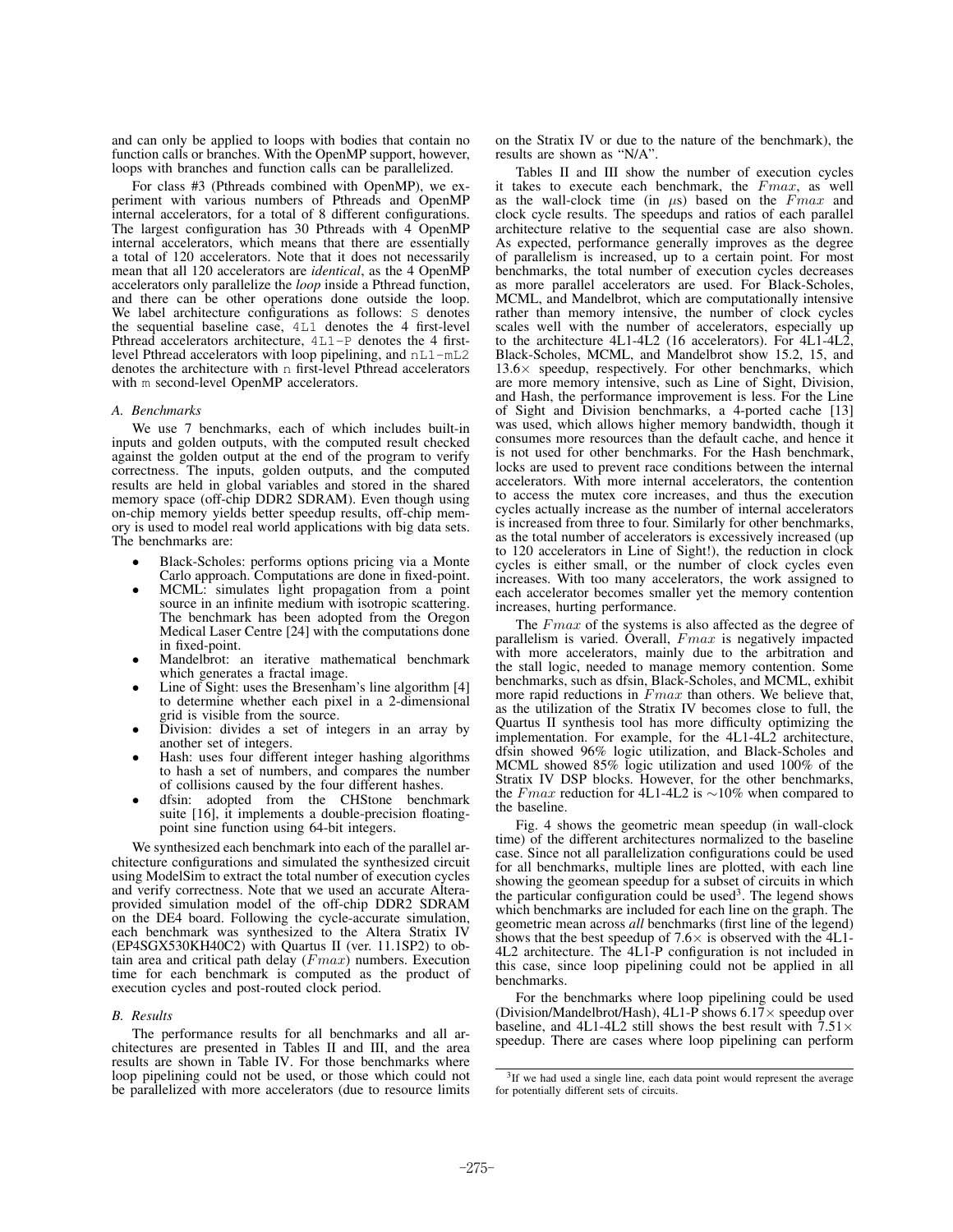and can only be applied to loops with bodies that contain no function calls or branches. With the OpenMP support, however, loops with branches and function calls can be parallelized.

For class #3 (Pthreads combined with OpenMP), we experiment with various numbers of Pthreads and OpenMP internal accelerators, for a total of 8 different configurations. The largest configuration has 30 Pthreads with 4 OpenMP internal accelerators, which means that there are essentially a total of 120 accelerators. Note that it does not necessarily mean that all 120 accelerators are *identical*, as the 4 OpenMP accelerators only parallelize the *loop* inside a Pthread function, and there can be other operations done outside the loop. We label architecture configurations as follows: S denotes the sequential baseline case, 4L1 denotes the 4 first-level Pthread accelerators architecture, 4L1-P denotes the 4 firstlevel Pthread accelerators with loop pipelining, and nL1-mL2 denotes the architecture with n first-level Pthread accelerators with m second-level OpenMP accelerators.

# *A. Benchmarks*

We use 7 benchmarks, each of which includes built-in inputs and golden outputs, with the computed result checked against the golden output at the end of the program to verify correctness. The inputs, golden outputs, and the computed results are held in global variables and stored in the shared memory space (off-chip DDR2 SDRAM). Even though using on-chip memory yields better speedup results, off-chip memory is used to model real world applications with big data sets. The benchmarks are:

- - Black-Scholes: performs options pricing via a Monte Carlo approach. Computations are done in fixed-point.
- - MCML: simulates light propagation from a point source in an infinite medium with isotropic scattering. The benchmark has been adopted from the Oregon Medical Laser Centre [24] with the computations done in fixed-point.
- - Mandelbrot: an iterative mathematical benchmark which generates a fractal image.
- - Line of Sight: uses the Bresenham's line algorithm [4] to determine whether each pixel in a 2-dimensional grid is visible from the source.
- - Division: divides a set of integers in an array by another set of integers.
- - Hash: uses four different integer hashing algorithms to hash a set of numbers, and compares the number of collisions caused by the four different hashes.
- dfsin: adopted from the CHStone benchmark suite [16], it implements a double-precision floatingpoint sine function using 64-bit integers.

We synthesized each benchmark into each of the parallel architecture configurations and simulated the synthesized circuit using ModelSim to extract the total number of execution cycles and verify correctness. Note that we used an accurate Alteraprovided simulation model of the off-chip DDR2 SDRAM on the DE4 board. Following the cycle-accurate simulation, each benchmark was synthesized to the Altera Stratix IV (EP4SGX530KH40C2) with Quartus II (ver. 11.1SP2) to obtain area and critical path delay  $(Fmax)$  numbers. Execution time for each benchmark is computed as the product of execution cycles and post-routed clock period.

## *B. Results*

The performance results for all benchmarks and all architectures are presented in Tables II and III, and the area results are shown in Table IV. For those benchmarks where loop pipelining could not be used, or those which could not be parallelized with more accelerators (due to resource limits on the Stratix IV or due to the nature of the benchmark), the results are shown as "N/A".

Tables II and III show the number of execution cycles it takes to execute each benchmark, the  $Fmax$ , as well as the wall-clock time (in  $\mu$ s) based on the  $Fmax$  and clock cycle results. The speedups and ratios of each parallel architecture relative to the sequential case are also shown. As expected, performance generally improves as the degree of parallelism is increased, up to a certain point. For most benchmarks, the total number of execution cycles decreases as more parallel accelerators are used. For Black-Scholes, MCML, and Mandelbrot, which are computationally intensive rather than memory intensive, the number of clock cycles scales well with the number of accelerators, especially up to the architecture 4L1-4L2 (16 accelerators). For 4L1-4L2, Black-Scholes, MCML, and Mandelbrot show 15.2, 15, and  $13.6 \times$  speedup, respectively. For other benchmarks, which are more memory intensive, such as Line of Sight, Division, and Hash, the performance improvement is less. For the Line of Sight and Division benchmarks, a 4-ported cache [13] was used, which allows higher memory bandwidth, though it consumes more resources than the default cache, and hence it is not used for other benchmarks. For the Hash benchmark, locks are used to prevent race conditions between the internal accelerators. With more internal accelerators, the contention to access the mutex core increases, and thus the execution cycles actually increase as the number of internal accelerators is increased from three to four. Similarly for other benchmarks, as the total number of accelerators is excessively increased (up to 120 accelerators in Line of Sight!), the reduction in clock cycles is either small, or the number of clock cycles even increases. With too many accelerators, the work assigned to each accelerator becomes smaller yet the memory contention increases, hurting performance.

The  $Fmax$  of the systems is also affected as the degree of parallelism is varied. Overall,  $Fmax$  is negatively impacted with more accelerators, mainly due to the arbitration and the stall logic, needed to manage memory contention. Some benchmarks, such as dfsin, Black-Scholes, and MCML, exhibit more rapid reductions in  $Fmax$  than others. We believe that, as the utilization of the Stratix IV becomes close to full, the Quartus II synthesis tool has more difficulty optimizing the implementation. For example, for the 4L1-4L2 architecture, dfsin showed 96% logic utilization, and Black-Scholes and MCML showed 85% logic utilization and used 100% of the Stratix IV DSP blocks. However, for the other benchmarks, the  $Fmax$  reduction for 4L1-4L2 is  $\sim$ 10% when compared to the baseline.

Fig. 4 shows the geometric mean speedup (in wall-clock time) of the different architectures normalized to the baseline case. Since not all parallelization configurations could be used for all benchmarks, multiple lines are plotted, with each line showing the geomean speedup for a subset of circuits in which the particular configuration could be used<sup>3</sup>. The legend shows which benchmarks are included for each line on the graph. The geometric mean across *all* benchmarks (first line of the legend) shows that the best speedup of  $7.6 \times$  is observed with the 4L1-4L2 architecture. The 4L1-P configuration is not included in this case, since loop pipelining could not be applied in all benchmarks.

For the benchmarks where loop pipelining could be used (Division/Mandelbrot/Hash), 4L1-P shows 6.17  $\times$  speedup over baseline, and 4L1-4L2 still shows the best result with 7.51 $\times$ speedup. There are cases where loop pipelining can perform

<sup>&</sup>lt;sup>3</sup>If we had used a single line, each data point would represent the average for potentially different sets of circuits.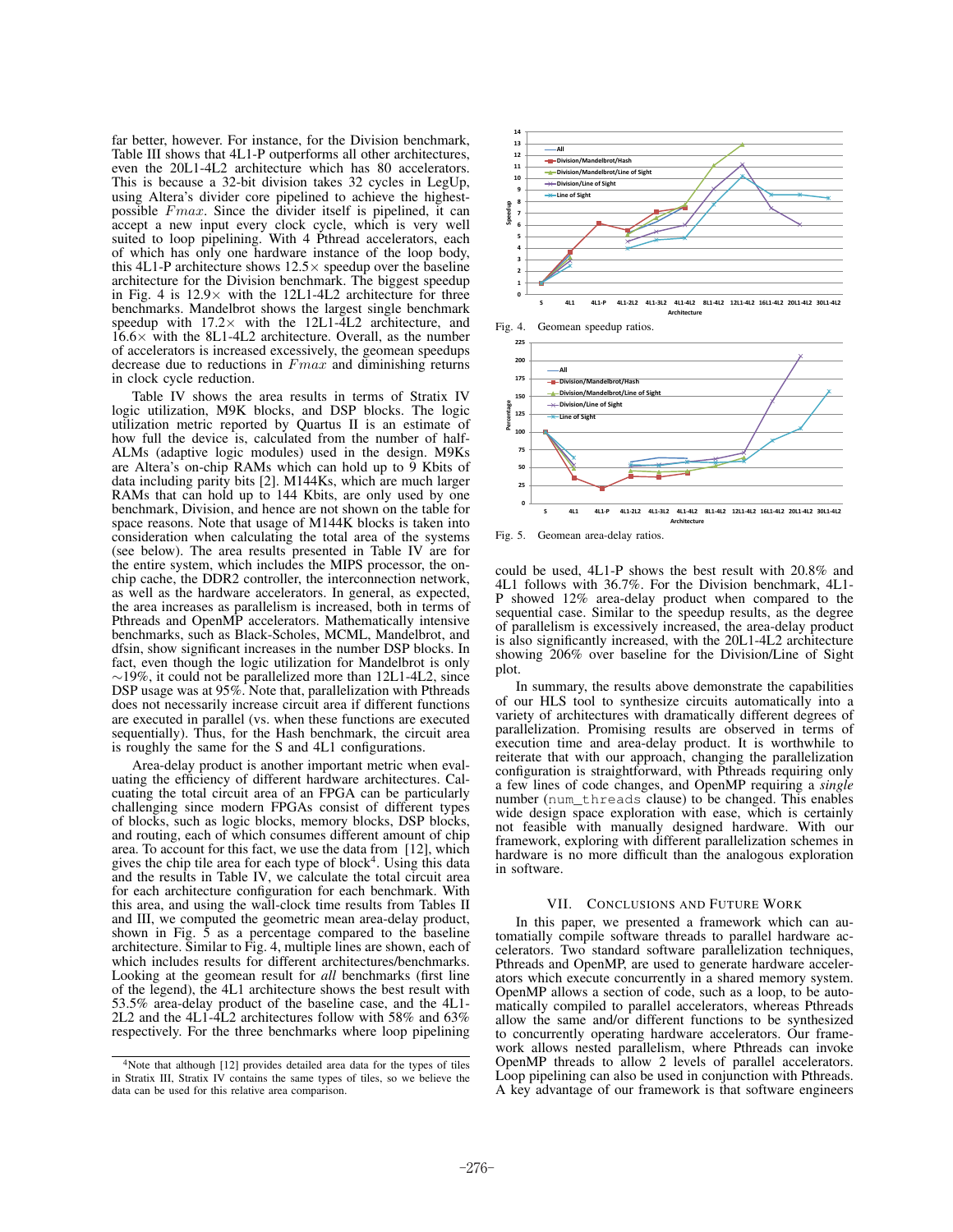far better, however. For instance, for the Division benchmark, Table III shows that 4L1-P outperforms all other architectures, even the 20L1-4L2 architecture which has 80 accelerators. This is because a 32-bit division takes 32 cycles in LegUp, using Altera's divider core pipelined to achieve the highestpossible  $Fmax$ . Since the divider itself is pipelined, it can accept a new input every clock cycle, which is very well suited to loop pipelining. With 4 Pthread accelerators, each of which has only one hardware instance of the loop body, this 4L1-P architecture shows  $12.5 \times$  speedup over the baseline architecture for the Division benchmark. The biggest speedup in Fig. 4 is  $12.9 \times$  with the 12L1-4L2 architecture for three benchmarks. Mandelbrot shows the largest single benchmark speedup with  $17.2 \times$  with the 12L1-4L2 architecture, and  $16.6 \times$  with the 8L1-4L2 architecture. Overall, as the number of accelerators is increased excessively, the geomean speedups decrease due to reductions in  $Fmax$  and diminishing returns in clock cycle reduction.

Table IV shows the area results in terms of Stratix IV logic utilization, M9K blocks, and DSP blocks. The logic utilization metric reported by Quartus II is an estimate of how full the device is, calculated from the number of half-ALMs (adaptive logic modules) used in the design. M9Ks are Altera's on-chip RAMs which can hold up to 9 Kbits of data including parity bits [2]. M144Ks, which are much larger RAMs that can hold up to 144 Kbits, are only used by one benchmark, Division, and hence are not shown on the table for space reasons. Note that usage of M144K blocks is taken into consideration when calculating the total area of the systems (see below). The area results presented in Table IV are for the entire system, which includes the MIPS processor, the onchip cache, the DDR2 controller, the interconnection network, as well as the hardware accelerators. In general, as expected, the area increases as parallelism is increased, both in terms of Pthreads and OpenMP accelerators. Mathematically intensive benchmarks, such as Black-Scholes, MCML, Mandelbrot, and dfsin, show significant increases in the number DSP blocks. In fact, even though the logic utilization for Mandelbrot is only  $\sim$ 19%, it could not be parallelized more than 12L1-4L2, since DSP usage was at 95%. Note that, parallelization with Pthreads does not necessarily increase circuit area if different functions are executed in parallel (vs. when these functions are executed sequentially). Thus, for the Hash benchmark, the circuit area is roughly the same for the S and 4L1 configurations.

Area-delay product is another important metric when evaluating the efficiency of different hardware architectures. Calcuating the total circuit area of an FPGA can be particularly challenging since modern FPGAs consist of different types of blocks, such as logic blocks, memory blocks, DSP blocks, and routing, each of which consumes different amount of chip area. To account for this fact, we use the data from [12], which gives the chip tile area for each type of block<sup>4</sup>. Using this data and the results in Table IV, we calculate the total circuit area for each architecture configuration for each benchmark. With this area, and using the wall-clock time results from Tables II and III, we computed the geometric mean area-delay product, shown in Fig. 5 as a percentage compared to the baseline architecture. Similar to Fig. 4, multiple lines are shown, each of which includes results for different architectures/benchmarks. Looking at the geomean result for *all* benchmarks (first line of the legend), the 4L1 architecture shows the best result with 53.5% area-delay product of the baseline case, and the 4L1- 2L2 and the 4L1-4L2 architectures follow with 58% and 63% respectively. For the three benchmarks where loop pipelining





Fig. 5. Geomean area-delay ratios.

could be used, 4L1-P shows the best result with 20.8% and 4L1 follows with 36.7%. For the Division benchmark, 4L1- P showed 12% area-delay product when compared to the sequential case. Similar to the speedup results, as the degree of parallelism is excessively increased, the area-delay product is also significantly increased, with the 20L1-4L2 architecture showing 206% over baseline for the Division/Line of Sight plot.

In summary, the results above demonstrate the capabilities of our HLS tool to synthesize circuits automatically into a variety of architectures with dramatically different degrees of parallelization. Promising results are observed in terms of execution time and area-delay product. It is worthwhile to reiterate that with our approach, changing the parallelization configuration is straightforward, with Pthreads requiring only a few lines of code changes, and OpenMP requiring a *single* number (num\_threads clause) to be changed. This enables wide design space exploration with ease, which is certainly not feasible with manually designed hardware. With our framework, exploring with different parallelization schemes in hardware is no more difficult than the analogous exploration in software.

# VII. CONCLUSIONS AND FUTURE WORK

In this paper, we presented a framework which can automatially compile software threads to parallel hardware accelerators. Two standard software parallelization techniques, Pthreads and OpenMP, are used to generate hardware accelerators which execute concurrently in a shared memory system. OpenMP allows a section of code, such as a loop, to be automatically compiled to parallel accelerators, whereas Pthreads allow the same and/or different functions to be synthesized to concurrently operating hardware accelerators. Our framework allows nested parallelism, where Pthreads can invoke OpenMP threads to allow 2 levels of parallel accelerators. Loop pipelining can also be used in conjunction with Pthreads. A key advantage of our framework is that software engineers

<sup>4</sup>Note that although [12] provides detailed area data for the types of tiles in Stratix III, Stratix IV contains the same types of tiles, so we believe the data can be used for this relative area comparison.